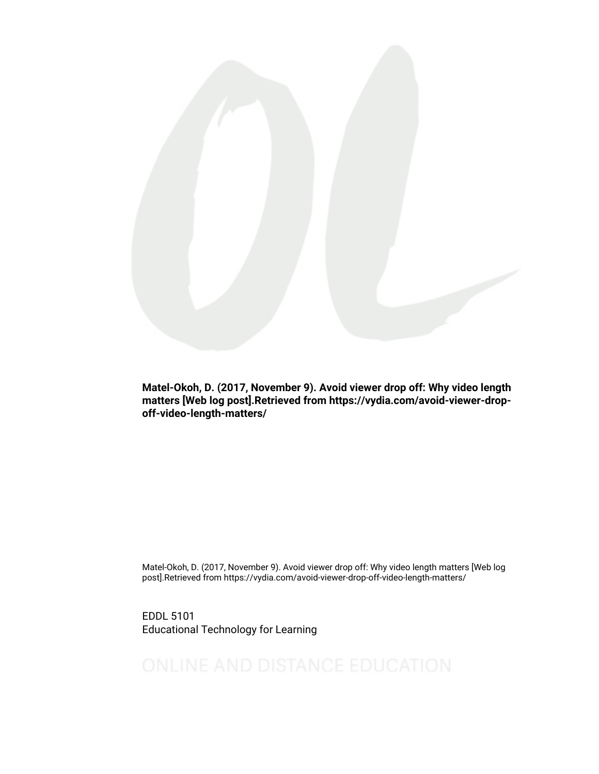

Matel-Okoh, D. (2017, November 9). Avoid viewer drop off: Why video length matters [Web log post].Retrieved from https://vydia.com/avoid-viewer-dropoff-video-length-matters/

Matel-Okoh, D. (2017, November 9). Avoid viewer drop off: Why video length matters [Web log post].Retrieved from https://vydia.com/avoid-viewer-drop-off-video-length-matters/

EDDL 5101 Educational Technology for Learning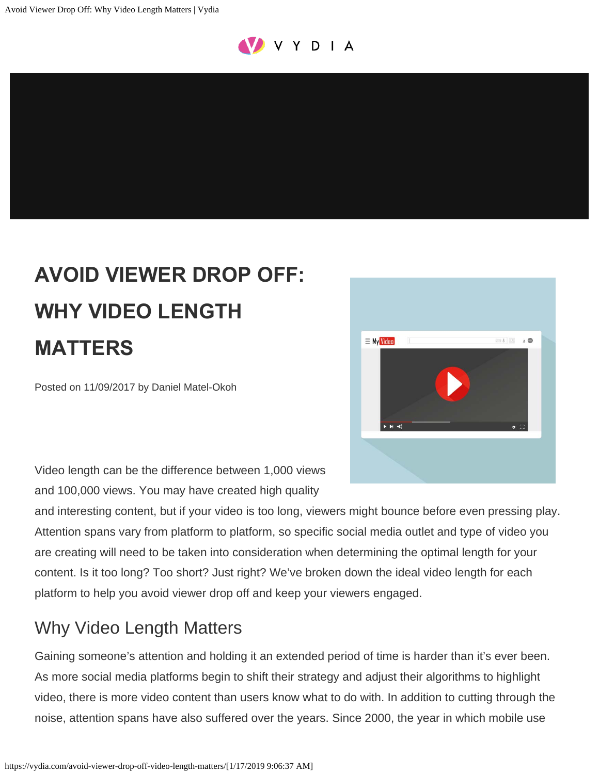

# **AVOID VIEWER DROP OFF: WHY VIDEO LENGTH MATTERS**

Posted on 11/09/2017 by Daniel Matel-Okoh



Video length can be the difference between 1,000 views and 100,000 views. You may have created high quality

and interesting content, but if your video is too long, viewers might bounce before even pressing play. Attention spans vary from platform to platform, so specific social media outlet and type of video you are creating will need to be taken into consideration when determining the optimal length for your content. Is it too long? Too short? Just right? We've broken down the ideal video length for each platform to help you avoid viewer drop off and keep your viewers engaged.

# Why Video Length Matters

Gaining someone's attention and holding it an extended period of time is harder than it's ever been. As more social media platforms begin to shift their strategy and adjust their algorithms to highlight video, there is more video content than users know what to do with. In addition to cutting through the noise, attention spans have also suffered over the years. Since 2000, the year in which mobile use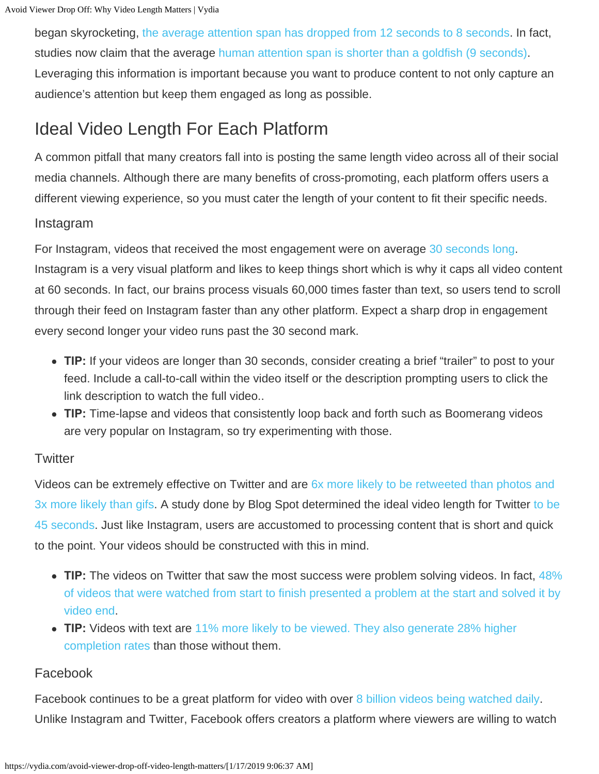began skyrocketing, [the average attention span has dropped from 12 seconds to 8 seconds](https://blog.bufferapp.com/social-media-video-marketing-statistics#3). In fact, studies now claim that the averag[e human attention span is shorter than a goldfish \(9 seconds\)](http://time.com/3858309/attention-spans-goldfish/). Leveraging this information is important because you want to produce content to not only capture an audience's attention but keep them engaged as long as possible.

# Ideal Video Length For Each Platform

A common pitfall that many creators fall into is posting the same length video across all of their social media channels. Although there are many benefits of cross-promoting, each platform offers users a different viewing experience, so you must cater the length of your content to fit their specific needs.

#### Instagram

For Instagram, videos that received the most engagement were on average [30 seconds long](https://blog.hubspot.com/marketing/how-long-should-a-video-be-on-native-video-platforms). Instagram is a very visual platform and likes to keep things short which is why it caps all video content at 60 seconds. In fact, our brains process visuals 60,000 times faster than text, so users tend to scroll through their feed on Instagram faster than any other platform. Expect a sharp drop in engagement every second longer your video runs past the 30 second mark.

- TIP: If your videos are longer than 30 seconds, consider creating a brief "trailer" to post to your feed. Include a call-to-call within the video itself or the description prompting users to click the link description to watch the full video..
- **TIP:** Time-lapse and videos that consistently loop back and forth such as Boomerang videos are very popular on Instagram, so try experimenting with those.

### **Twitter**

Videos can be extremely effective on Twitter and are [6x more likely to be retweeted than photos and](https://medium.com/@CarolForden/how-video-can-raise-customer-engagement-and-revenue-744493902a6f) [3x more likely than gifs.](https://medium.com/@CarolForden/how-video-can-raise-customer-engagement-and-revenue-744493902a6f) A study done by Blog Spot determined the ideal video length for Twitter [to be](https://blog.hubspot.com/marketing/how-long-should-a-video-be-on-native-video-platforms) [45 seconds.](https://blog.hubspot.com/marketing/how-long-should-a-video-be-on-native-video-platforms) Just like Instagram, users are accustomed to processing content that is short and quick to the point. Your videos should be constructed with this in mind.

- **TIP:** The videos on Twitter that saw the most success were problem solving videos. In fact, [48%](https://www.clickz.com/nine-stats-about-twitter-video-ads-and-why-we-cannot-ignore-them/106660/) [of videos that were watched from start to finish presented a problem at the start and solved it by](https://www.clickz.com/nine-stats-about-twitter-video-ads-and-why-we-cannot-ignore-them/106660/) [video end.](https://www.clickz.com/nine-stats-about-twitter-video-ads-and-why-we-cannot-ignore-them/106660/)
- **TIP:** Videos with text are [11% more likely to be viewed. They also generate 28% higher](https://blog.twitter.com/en-gb/2017/how-to-create-video-with-thumb-stopping-power-on-twitter) [completion rates](https://blog.twitter.com/en-gb/2017/how-to-create-video-with-thumb-stopping-power-on-twitter) than those without them.

## Facebook

Facebook continues to be a great platform for video with over [8 billion videos being watched daily](http://www.rendrfx.com/video-marketing-statistics). Unlike Instagram and Twitter, Facebook offers creators a platform where viewers are willing to watch